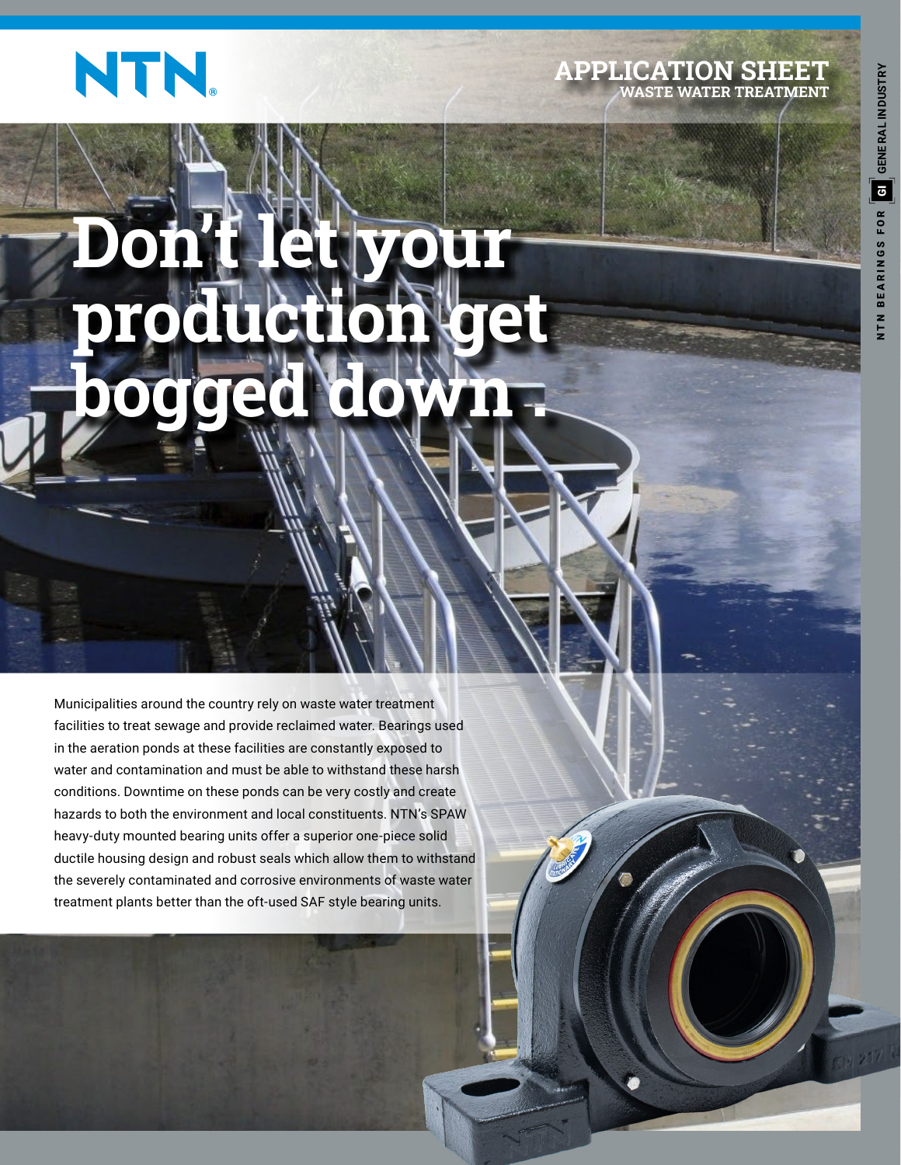

#### **APPLICATION SHEET WASTE WATER TREATMENT**

# **Don't let your production get bogged down .**

Municipalities around the country rely on waste water treatment facilities to treat sewage and provide reclaimed water. Bearings used in the aeration ponds at these facilities are constantly exposed to water and contamination and must be able to withstand these harsh conditions. Downtime on these ponds can be very costly and create hazards to both the environment and local constituents. NTN's SPAW heavy-duty mounted bearing units offer a superior one-piece solid ductile housing design and robust seals which allow them to withstand the severely contaminated and corrosive environments of waste water treatment plants better than the oft-used SAF style bearing units.